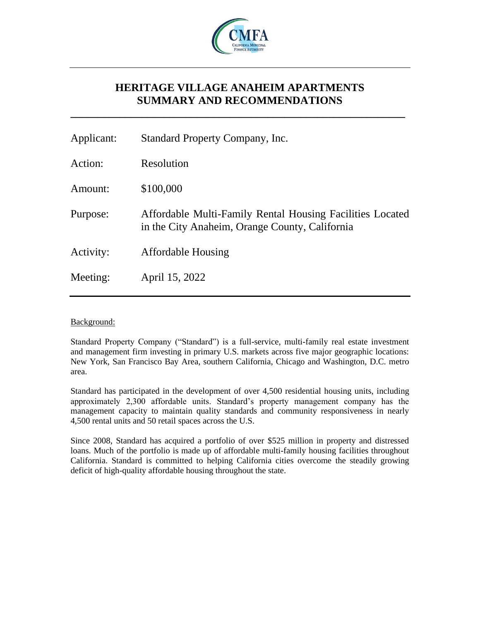

# **HERITAGE VILLAGE ANAHEIM APARTMENTS SUMMARY AND RECOMMENDATIONS**

**\_\_\_\_\_\_\_\_\_\_\_\_\_\_\_\_\_\_\_\_\_\_\_\_\_\_\_\_\_\_\_\_\_\_\_\_\_\_\_\_\_\_\_\_\_\_\_\_\_\_\_\_\_\_\_\_\_\_\_\_\_**

| Applicant: | Standard Property Company, Inc.                                                                             |
|------------|-------------------------------------------------------------------------------------------------------------|
| Action:    | Resolution                                                                                                  |
| Amount:    | \$100,000                                                                                                   |
| Purpose:   | Affordable Multi-Family Rental Housing Facilities Located<br>in the City Anaheim, Orange County, California |
| Activity:  | <b>Affordable Housing</b>                                                                                   |
| Meeting:   | April 15, 2022                                                                                              |
|            |                                                                                                             |

# Background:

Standard Property Company ("Standard") is a full-service, multi-family real estate investment and management firm investing in primary U.S. markets across five major geographic locations: New York, San Francisco Bay Area, southern California, Chicago and Washington, D.C. metro area.

Standard has participated in the development of over 4,500 residential housing units, including approximately 2,300 affordable units. Standard's property management company has the management capacity to maintain quality standards and community responsiveness in nearly 4,500 rental units and 50 retail spaces across the U.S.

Since 2008, Standard has acquired a portfolio of over \$525 million in property and distressed loans. Much of the portfolio is made up of affordable multi-family housing facilities throughout California. Standard is committed to helping California cities overcome the steadily growing deficit of high-quality affordable housing throughout the state.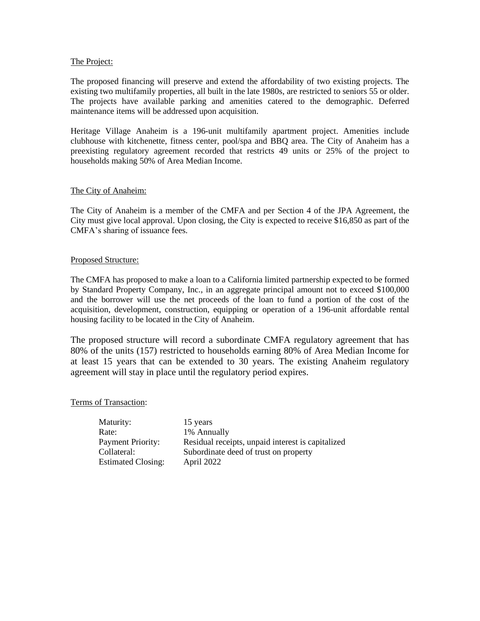# The Project:

The proposed financing will preserve and extend the affordability of two existing projects. The existing two multifamily properties, all built in the late 1980s, are restricted to seniors 55 or older. The projects have available parking and amenities catered to the demographic. Deferred maintenance items will be addressed upon acquisition.

Heritage Village Anaheim is a 196-unit multifamily apartment project. Amenities include clubhouse with kitchenette, fitness center, pool/spa and BBQ area. The City of Anaheim has a preexisting regulatory agreement recorded that restricts 49 units or 25% of the project to households making 50% of Area Median Income.

# The City of Anaheim:

The City of Anaheim is a member of the CMFA and per Section 4 of the JPA Agreement, the City must give local approval. Upon closing, the City is expected to receive \$16,850 as part of the CMFA's sharing of issuance fees.

# Proposed Structure:

The CMFA has proposed to make a loan to a California limited partnership expected to be formed by Standard Property Company, Inc., in an aggregate principal amount not to exceed \$100,000 and the borrower will use the net proceeds of the loan to fund a portion of the cost of the acquisition, development, construction, equipping or operation of a 196-unit affordable rental housing facility to be located in the City of Anaheim.

The proposed structure will record a subordinate CMFA regulatory agreement that has 80% of the units (157) restricted to households earning 80% of Area Median Income for at least 15 years that can be extended to 30 years. The existing Anaheim regulatory agreement will stay in place until the regulatory period expires.

Terms of Transaction:

Maturity: 15 years Rate: 1% Annually Payment Priority: Residual receipts, unpaid interest is capitalized Collateral: Subordinate deed of trust on property Estimated Closing: April 2022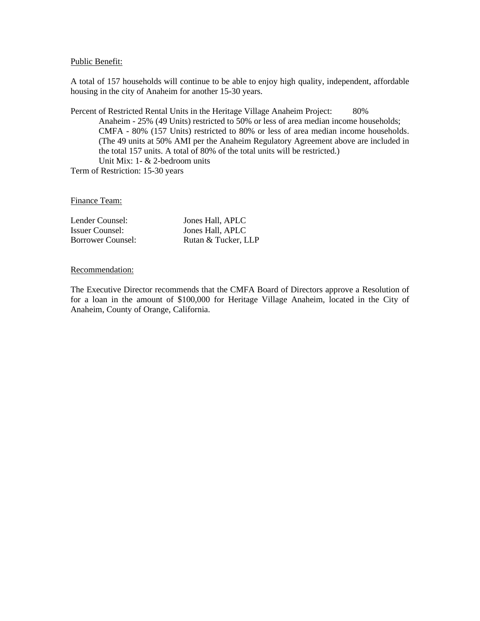#### Public Benefit:

A total of 157 households will continue to be able to enjoy high quality, independent, affordable housing in the city of Anaheim for another 15-30 years.

Percent of Restricted Rental Units in the Heritage Village Anaheim Project: 80% Anaheim - 25% (49 Units) restricted to 50% or less of area median income households; CMFA - 80% (157 Units) restricted to 80% or less of area median income households. (The 49 units at 50% AMI per the Anaheim Regulatory Agreement above are included in the total 157 units. A total of 80% of the total units will be restricted.) Unit Mix: 1- & 2-bedroom units

Term of Restriction: 15-30 years

Finance Team:

| Lender Counsel:   | Jones Hall, APLC    |
|-------------------|---------------------|
| Issuer Counsel:   | Jones Hall, APLC    |
| Borrower Counsel: | Rutan & Tucker, LLP |

### Recommendation:

The Executive Director recommends that the CMFA Board of Directors approve a Resolution of for a loan in the amount of \$100,000 for Heritage Village Anaheim, located in the City of Anaheim, County of Orange, California.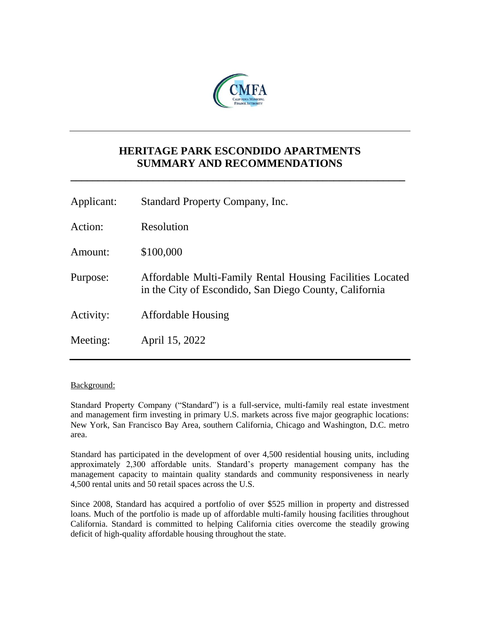

# **HERITAGE PARK ESCONDIDO APARTMENTS SUMMARY AND RECOMMENDATIONS**

**\_\_\_\_\_\_\_\_\_\_\_\_\_\_\_\_\_\_\_\_\_\_\_\_\_\_\_\_\_\_\_\_\_\_\_\_\_\_\_\_\_\_\_\_\_\_\_\_\_\_\_\_\_\_\_\_\_\_\_\_\_**

| Applicant: | Standard Property Company, Inc.                                                                                     |
|------------|---------------------------------------------------------------------------------------------------------------------|
| Action:    | Resolution                                                                                                          |
| Amount:    | \$100,000                                                                                                           |
| Purpose:   | Affordable Multi-Family Rental Housing Facilities Located<br>in the City of Escondido, San Diego County, California |
| Activity:  | <b>Affordable Housing</b>                                                                                           |
| Meeting:   | April 15, 2022                                                                                                      |

# Background:

Standard Property Company ("Standard") is a full-service, multi-family real estate investment and management firm investing in primary U.S. markets across five major geographic locations: New York, San Francisco Bay Area, southern California, Chicago and Washington, D.C. metro area.

Standard has participated in the development of over 4,500 residential housing units, including approximately 2,300 affordable units. Standard's property management company has the management capacity to maintain quality standards and community responsiveness in nearly 4,500 rental units and 50 retail spaces across the U.S.

Since 2008, Standard has acquired a portfolio of over \$525 million in property and distressed loans. Much of the portfolio is made up of affordable multi-family housing facilities throughout California. Standard is committed to helping California cities overcome the steadily growing deficit of high-quality affordable housing throughout the state.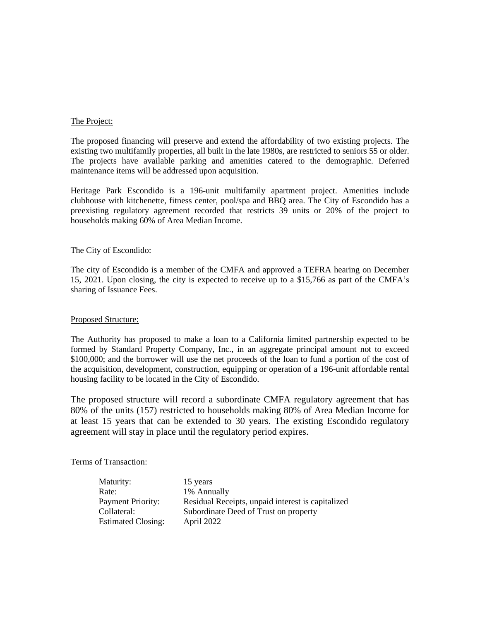### The Project:

The proposed financing will preserve and extend the affordability of two existing projects. The existing two multifamily properties, all built in the late 1980s, are restricted to seniors 55 or older. The projects have available parking and amenities catered to the demographic. Deferred maintenance items will be addressed upon acquisition.

Heritage Park Escondido is a 196-unit multifamily apartment project. Amenities include clubhouse with kitchenette, fitness center, pool/spa and BBQ area. The City of Escondido has a preexisting regulatory agreement recorded that restricts 39 units or 20% of the project to households making 60% of Area Median Income.

# The City of Escondido:

The city of Escondido is a member of the CMFA and approved a TEFRA hearing on December 15, 2021. Upon closing, the city is expected to receive up to a \$15,766 as part of the CMFA's sharing of Issuance Fees.

# Proposed Structure:

The Authority has proposed to make a loan to a California limited partnership expected to be formed by Standard Property Company, Inc., in an aggregate principal amount not to exceed \$100,000; and the borrower will use the net proceeds of the loan to fund a portion of the cost of the acquisition, development, construction, equipping or operation of a 196-unit affordable rental housing facility to be located in the City of Escondido.

The proposed structure will record a subordinate CMFA regulatory agreement that has 80% of the units (157) restricted to households making 80% of Area Median Income for at least 15 years that can be extended to 30 years. The existing Escondido regulatory agreement will stay in place until the regulatory period expires.

# Terms of Transaction:

| Maturity:                 | 15 years                                          |
|---------------------------|---------------------------------------------------|
| Rate:                     | 1% Annually                                       |
| <b>Payment Priority:</b>  | Residual Receipts, unpaid interest is capitalized |
| Collateral:               | Subordinate Deed of Trust on property             |
| <b>Estimated Closing:</b> | April 2022                                        |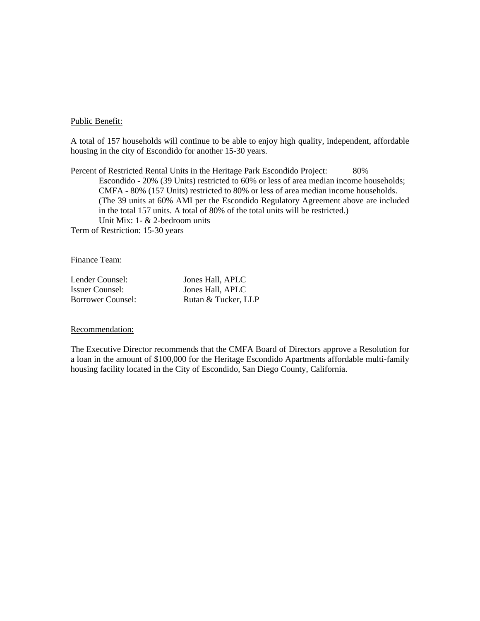### Public Benefit:

A total of 157 households will continue to be able to enjoy high quality, independent, affordable housing in the city of Escondido for another 15-30 years.

Percent of Restricted Rental Units in the Heritage Park Escondido Project: 80% Escondido - 20% (39 Units) restricted to 60% or less of area median income households; CMFA - 80% (157 Units) restricted to 80% or less of area median income households. (The 39 units at 60% AMI per the Escondido Regulatory Agreement above are included in the total 157 units. A total of 80% of the total units will be restricted.) Unit Mix: 1- & 2-bedroom units Term of Restriction: 15-30 years

Finance Team:

Lender Counsel: Jones Hall, APLC

Issuer Counsel: Jones Hall, APLC Borrower Counsel: Rutan & Tucker, LLP

#### Recommendation:

The Executive Director recommends that the CMFA Board of Directors approve a Resolution for a loan in the amount of \$100,000 for the Heritage Escondido Apartments affordable multi-family housing facility located in the City of Escondido, San Diego County, California.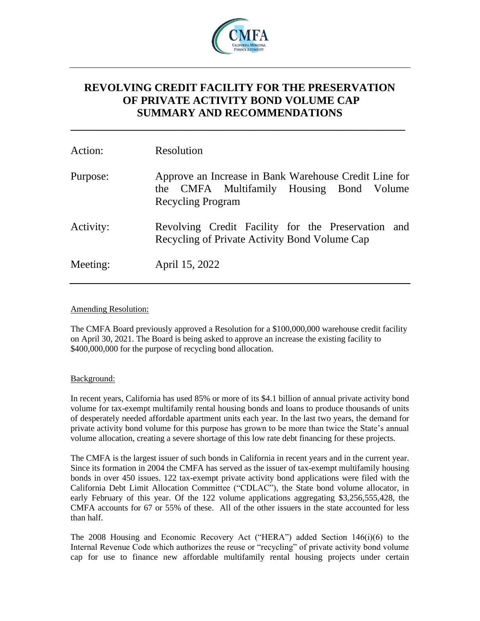

# **REVOLVING CREDIT FACILITY FOR THE PRESERVATION OF PRIVATE ACTIVITY BOND VOLUME CAP SUMMARY AND RECOMMENDATIONS**

**\_\_\_\_\_\_\_\_\_\_\_\_\_\_\_\_\_\_\_\_\_\_\_\_\_\_\_\_\_\_\_\_\_\_\_\_\_\_\_\_\_\_\_\_\_\_\_\_\_\_\_\_\_\_\_\_\_\_\_\_\_**

| Action:   | Resolution                                                                                                                    |
|-----------|-------------------------------------------------------------------------------------------------------------------------------|
| Purpose:  | Approve an Increase in Bank Warehouse Credit Line for<br>the CMFA Multifamily Housing Bond Volume<br><b>Recycling Program</b> |
| Activity: | Revolving Credit Facility for the Preservation and<br>Recycling of Private Activity Bond Volume Cap                           |
| Meeting:  | April 15, 2022                                                                                                                |

# Amending Resolution:

The CMFA Board previously approved a Resolution for a \$100,000,000 warehouse credit facility on April 30, 2021. The Board is being asked to approve an increase the existing facility to \$400,000,000 for the purpose of recycling bond allocation.

# Background:

In recent years, California has used 85% or more of its \$4.1 billion of annual private activity bond volume for tax-exempt multifamily rental housing bonds and loans to produce thousands of units of desperately needed affordable apartment units each year. In the last two years, the demand for private activity bond volume for this purpose has grown to be more than twice the State's annual volume allocation, creating a severe shortage of this low rate debt financing for these projects.

The CMFA is the largest issuer of such bonds in California in recent years and in the current year. Since its formation in 2004 the CMFA has served as the issuer of tax-exempt multifamily housing bonds in over 450 issues. 122 tax-exempt private activity bond applications were filed with the California Debt Limit Allocation Committee ("CDLAC"), the State bond volume allocator, in early February of this year. Of the 122 volume applications aggregating \$3,256,555,428, the CMFA accounts for 67 or 55% of these. All of the other issuers in the state accounted for less than half.

The 2008 Housing and Economic Recovery Act ("HERA") added Section 146(i)(6) to the Internal Revenue Code which authorizes the reuse or "recycling" of private activity bond volume cap for use to finance new affordable multifamily rental housing projects under certain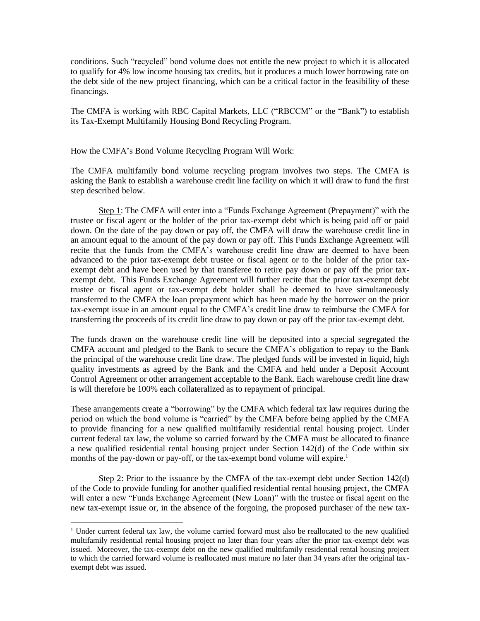conditions. Such "recycled" bond volume does not entitle the new project to which it is allocated to qualify for 4% low income housing tax credits, but it produces a much lower borrowing rate on the debt side of the new project financing, which can be a critical factor in the feasibility of these financings.

The CMFA is working with RBC Capital Markets, LLC ("RBCCM" or the "Bank") to establish its Tax-Exempt Multifamily Housing Bond Recycling Program.

#### How the CMFA's Bond Volume Recycling Program Will Work:

The CMFA multifamily bond volume recycling program involves two steps. The CMFA is asking the Bank to establish a warehouse credit line facility on which it will draw to fund the first step described below.

Step 1: The CMFA will enter into a "Funds Exchange Agreement (Prepayment)" with the trustee or fiscal agent or the holder of the prior tax-exempt debt which is being paid off or paid down. On the date of the pay down or pay off, the CMFA will draw the warehouse credit line in an amount equal to the amount of the pay down or pay off. This Funds Exchange Agreement will recite that the funds from the CMFA's warehouse credit line draw are deemed to have been advanced to the prior tax-exempt debt trustee or fiscal agent or to the holder of the prior taxexempt debt and have been used by that transferee to retire pay down or pay off the prior taxexempt debt. This Funds Exchange Agreement will further recite that the prior tax-exempt debt trustee or fiscal agent or tax-exempt debt holder shall be deemed to have simultaneously transferred to the CMFA the loan prepayment which has been made by the borrower on the prior tax-exempt issue in an amount equal to the CMFA's credit line draw to reimburse the CMFA for transferring the proceeds of its credit line draw to pay down or pay off the prior tax-exempt debt.

The funds drawn on the warehouse credit line will be deposited into a special segregated the CMFA account and pledged to the Bank to secure the CMFA's obligation to repay to the Bank the principal of the warehouse credit line draw. The pledged funds will be invested in liquid, high quality investments as agreed by the Bank and the CMFA and held under a Deposit Account Control Agreement or other arrangement acceptable to the Bank. Each warehouse credit line draw is will therefore be 100% each collateralized as to repayment of principal.

These arrangements create a "borrowing" by the CMFA which federal tax law requires during the period on which the bond volume is "carried" by the CMFA before being applied by the CMFA to provide financing for a new qualified multifamily residential rental housing project. Under current federal tax law, the volume so carried forward by the CMFA must be allocated to finance a new qualified residential rental housing project under Section 142(d) of the Code within six months of the pay-down or pay-off, or the tax-exempt bond volume will expire.<sup>1</sup>

Step 2: Prior to the issuance by the CMFA of the tax-exempt debt under Section 142(d) of the Code to provide funding for another qualified residential rental housing project, the CMFA will enter a new "Funds Exchange Agreement (New Loan)" with the trustee or fiscal agent on the new tax-exempt issue or, in the absence of the forgoing, the proposed purchaser of the new tax-

<sup>&</sup>lt;sup>1</sup> Under current federal tax law, the volume carried forward must also be reallocated to the new qualified multifamily residential rental housing project no later than four years after the prior tax-exempt debt was issued. Moreover, the tax-exempt debt on the new qualified multifamily residential rental housing project to which the carried forward volume is reallocated must mature no later than 34 years after the original taxexempt debt was issued.